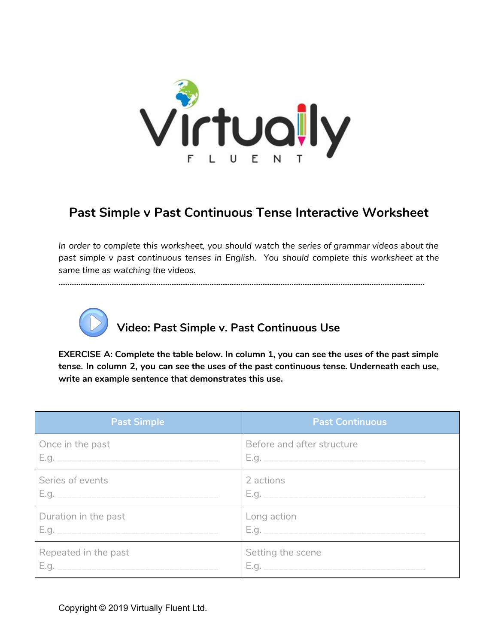

## **Past Simple v Past Continuous Tense Interactive Worksheet**

*In order to complete this worksheet, you should watch the series of grammar videos about the past simple v past continuous tenses in English. You should complete this worksheet at the same time as watching the videos.*

**…………………………………………………………………………………………………………………………………………………**



**EXERCISE A: Complete the table below. In column 1, you can see the uses of the past simple tense. In column 2, you can see the uses of the past continuous tense. Underneath each use, write an example sentence that demonstrates this use.**

| <b>Past Simple</b>   | <b>Past Continuous</b>     |
|----------------------|----------------------------|
| Once in the past     | Before and after structure |
|                      |                            |
| Series of events     | 2 actions                  |
|                      |                            |
| Duration in the past |                            |
| Repeated in the past | Setting the scene          |
|                      |                            |

Copyright © 2019 Virtually Fluent Ltd.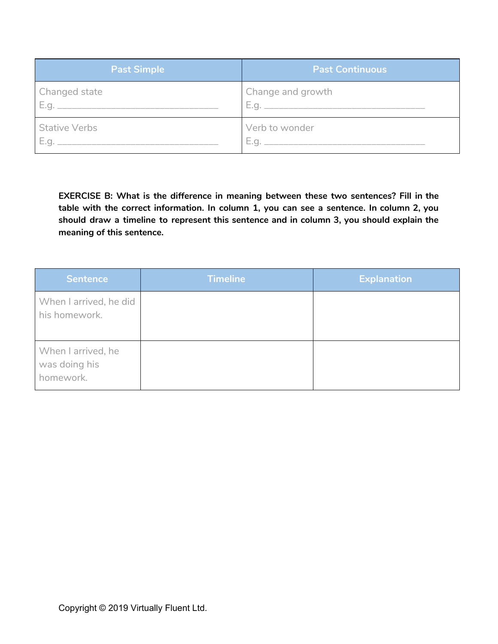| <b>Past Simple</b>   | <b>Past Continuous</b> |
|----------------------|------------------------|
| Changed state        | Change and growth      |
|                      |                        |
| <b>Stative Verbs</b> | Verb to wonder         |
| E.g.                 | E.q.                   |

**EXERCISE B: What is the difference in meaning between these two sentences? Fill in the table with the correct information. In column 1, you can see a sentence. In column 2, you should draw a timeline to represent this sentence and in column 3, you should explain the meaning of this sentence.**

| <b>Sentence</b>                                  | <b>Timeline</b> | <b>Explanation</b> |
|--------------------------------------------------|-----------------|--------------------|
| When I arrived, he did<br>his homework.          |                 |                    |
| When I arrived, he<br>was doing his<br>homework. |                 |                    |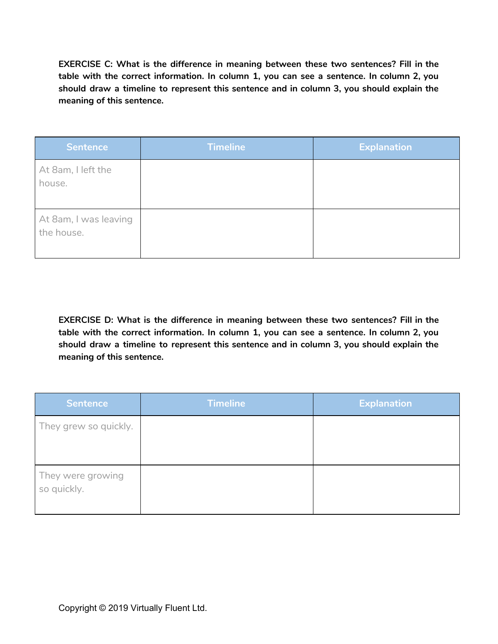**EXERCISE C: What is the difference in meaning between these two sentences? Fill in the table with the correct information. In column 1, you can see a sentence. In column 2, you should draw a timeline to represent this sentence and in column 3, you should explain the meaning of this sentence.**

| <b>Sentence</b>                     | <b>Timeline</b> | <b>Explanation</b> |
|-------------------------------------|-----------------|--------------------|
| At 8am, I left the<br>house.        |                 |                    |
| At 8am, I was leaving<br>the house. |                 |                    |

**EXERCISE D: What is the difference in meaning between these two sentences? Fill in the table with the correct information. In column 1, you can see a sentence. In column 2, you should draw a timeline to represent this sentence and in column 3, you should explain the meaning of this sentence.**

| <b>Sentence</b>                  | <b>Timeline</b> | <b>Explanation</b> |
|----------------------------------|-----------------|--------------------|
| They grew so quickly.            |                 |                    |
| They were growing<br>so quickly. |                 |                    |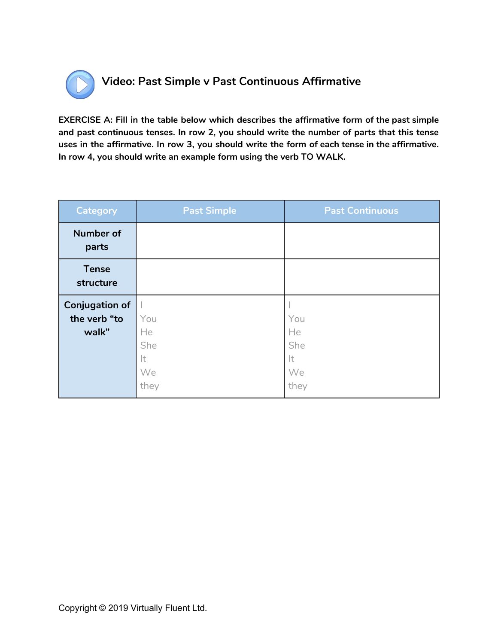

**EXERCISE A: Fill in the table below which describes the affirmative form of the past simple and past continuous tenses. In row 2, you should write the number of parts that this tense uses in the affirmative. In row 3, you should write the form of each tense in the affirmative. In row 4, you should write an example form using the verb TO WALK.**

| Category                  | <b>Past Simple</b> | <b>Past Continuous</b> |
|---------------------------|--------------------|------------------------|
| <b>Number of</b><br>parts |                    |                        |
| <b>Tense</b><br>structure |                    |                        |
| <b>Conjugation of</b>     |                    |                        |
| the verb "to              | You                | You                    |
| walk"                     | He                 | He                     |
|                           | She                | She                    |
|                           | It                 | It                     |
|                           | We                 | We                     |
|                           | they               | they                   |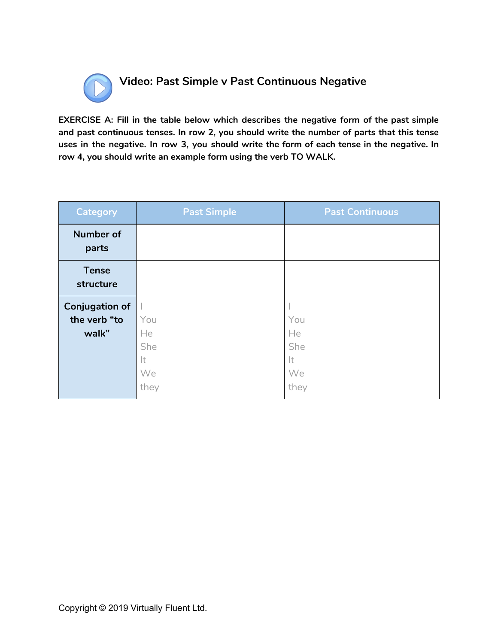

**EXERCISE A: Fill in the table below which describes the negative form of the past simple and past continuous tenses. In row 2, you should write the number of parts that this tense uses in the negative. In row 3, you should write the form of each tense in the negative. In row 4, you should write an example form using the verb TO WALK.**

| Category                  | <b>Past Simple</b> | <b>Past Continuous</b> |
|---------------------------|--------------------|------------------------|
| <b>Number of</b><br>parts |                    |                        |
| <b>Tense</b><br>structure |                    |                        |
| <b>Conjugation of</b>     |                    |                        |
| the verb "to              | You                | You                    |
| walk"                     | He                 | He                     |
|                           | She                | She                    |
|                           | It                 | It                     |
|                           | We                 | We                     |
|                           | they               | they                   |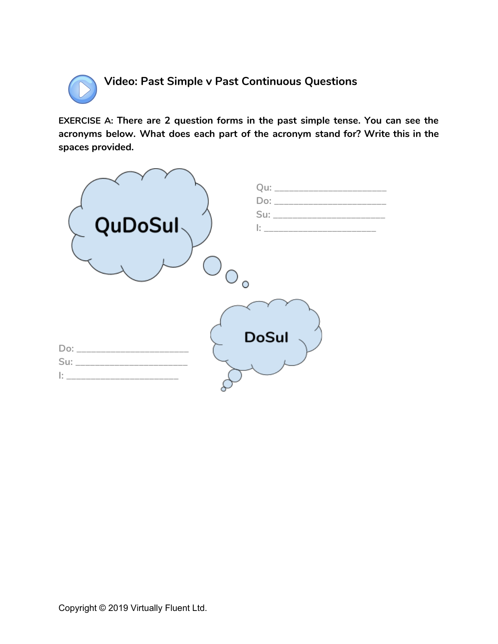

**EXERCISE A: There are 2 question forms in the past simple tense. You can see the acronyms below. What does each part of the acronym stand for? Write this in the spaces provided.**

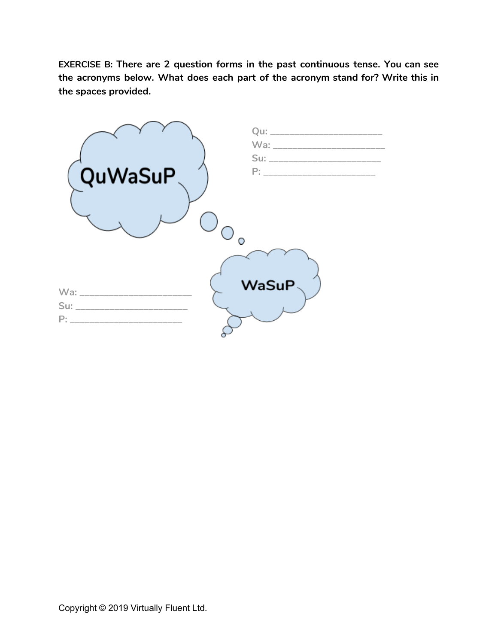**EXERCISE B: There are 2 question forms in the past continuous tense. You can see the acronyms below. What does each part of the acronym stand for? Write this in the spaces provided.**

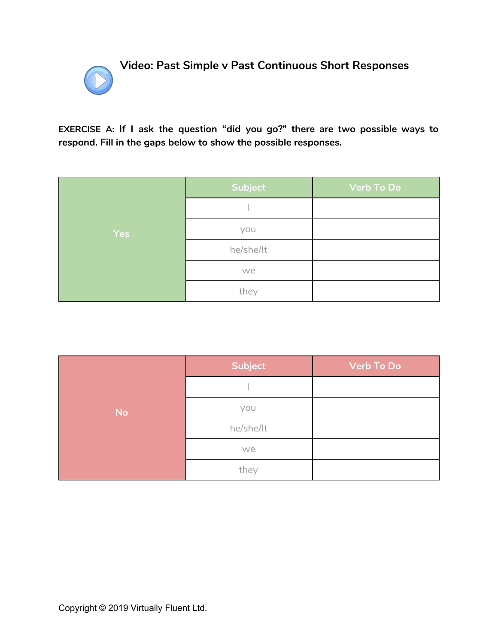

**EXERCISE A: If I ask the question "did you go?" there are two possible ways to respond. Fill in the gaps below to show the possible responses.**

|            | Subject   | Verb To Do |
|------------|-----------|------------|
|            |           |            |
| <b>Yes</b> | you       |            |
|            | he/she/lt |            |
|            | we        |            |
|            | they      |            |

|           | <b>Subject</b> | Verb To Do |
|-----------|----------------|------------|
|           |                |            |
| <b>No</b> | you            |            |
|           | he/she/lt      |            |
|           | we             |            |
|           | they           |            |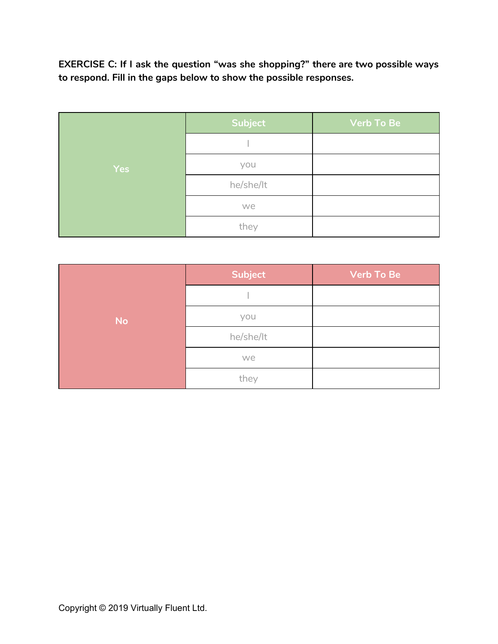**EXERCISE C: If I ask the question "was she shopping?" there are two possible ways to respond. Fill in the gaps below to show the possible responses.**

|            | <b>Subject</b> | Verb To Be |
|------------|----------------|------------|
|            |                |            |
| <b>Yes</b> | you            |            |
|            | he/she/lt      |            |
|            | we             |            |
|            | they           |            |

|    | Subject   | <b>Verb To Be</b> |
|----|-----------|-------------------|
|    |           |                   |
| No | you       |                   |
|    | he/she/lt |                   |
|    | we        |                   |
|    | they      |                   |